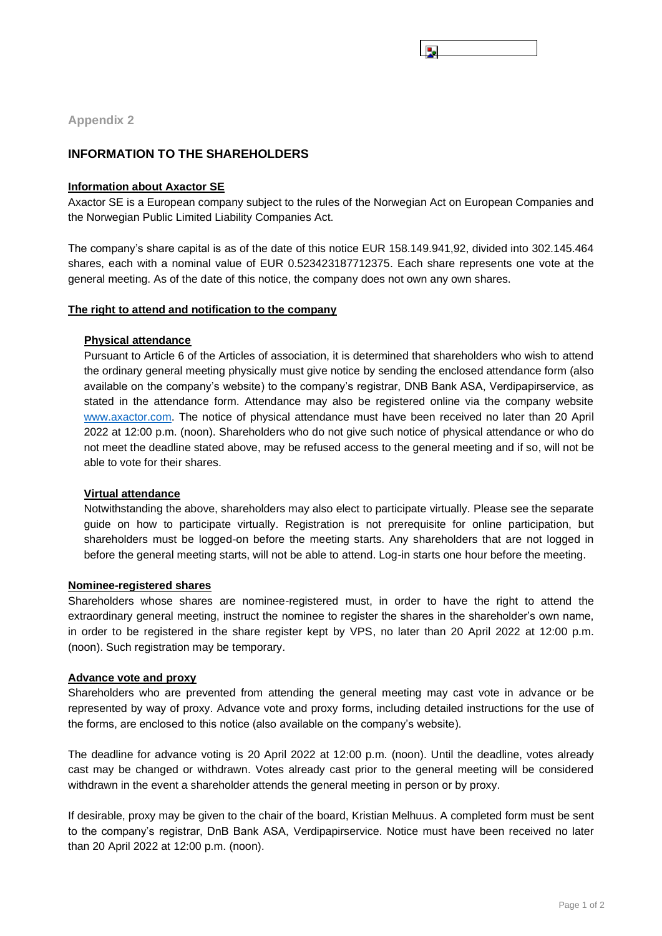**Appendix 2**

# **INFORMATION TO THE SHAREHOLDERS**

## **Information about Axactor SE**

Axactor SE is a European company subject to the rules of the Norwegian Act on European Companies and the Norwegian Public Limited Liability Companies Act.

The company's share capital is as of the date of this notice EUR 158.149.941,92, divided into 302.145.464 shares, each with a nominal value of EUR 0.523423187712375. Each share represents one vote at the general meeting. As of the date of this notice, the company does not own any own shares.

## **The right to attend and notification to the company**

## **Physical attendance**

Pursuant to Article 6 of the Articles of association, it is determined that shareholders who wish to attend the ordinary general meeting physically must give notice by sending the enclosed attendance form (also available on the company's website) to the company's registrar, DNB Bank ASA, Verdipapirservice, as stated in the attendance form. Attendance may also be registered online via the company website [www.axactor.com.](http://www.axactor.com/) The notice of physical attendance must have been received no later than 20 April 2022 at 12:00 p.m. (noon). Shareholders who do not give such notice of physical attendance or who do not meet the deadline stated above, may be refused access to the general meeting and if so, will not be able to vote for their shares.

# **Virtual attendance**

Notwithstanding the above, shareholders may also elect to participate virtually. Please see the separate guide on how to participate virtually. Registration is not prerequisite for online participation, but shareholders must be logged-on before the meeting starts. Any shareholders that are not logged in before the general meeting starts, will not be able to attend. Log-in starts one hour before the meeting.

## **Nominee-registered shares**

Shareholders whose shares are nominee-registered must, in order to have the right to attend the extraordinary general meeting, instruct the nominee to register the shares in the shareholder's own name, in order to be registered in the share register kept by VPS, no later than 20 April 2022 at 12:00 p.m. (noon). Such registration may be temporary.

## **Advance vote and proxy**

Shareholders who are prevented from attending the general meeting may cast vote in advance or be represented by way of proxy. Advance vote and proxy forms, including detailed instructions for the use of the forms, are enclosed to this notice (also available on the company's website).

The deadline for advance voting is 20 April 2022 at 12:00 p.m. (noon). Until the deadline, votes already cast may be changed or withdrawn. Votes already cast prior to the general meeting will be considered withdrawn in the event a shareholder attends the general meeting in person or by proxy.

If desirable, proxy may be given to the chair of the board, Kristian Melhuus. A completed form must be sent to the company's registrar, DnB Bank ASA, Verdipapirservice. Notice must have been received no later than 20 April 2022 at 12:00 p.m. (noon).